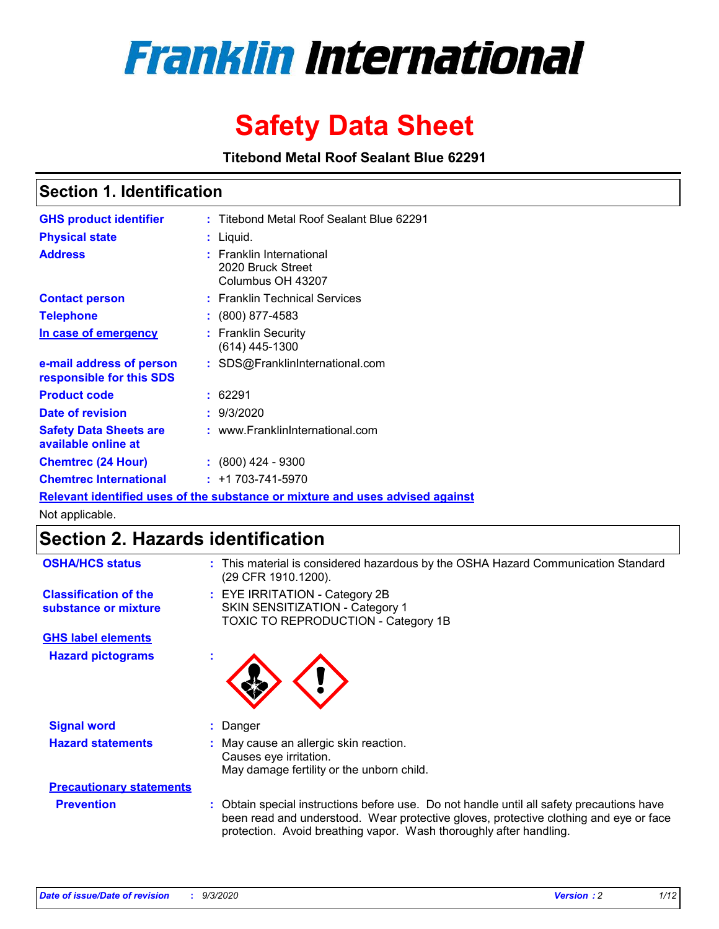

# **Safety Data Sheet**

**Titebond Metal Roof Sealant Blue 62291**

### **Section 1. Identification**

| <b>GHS product identifier</b>                                                 |  | : Titebond Metal Roof Sealant Blue 62291                           |  |  |
|-------------------------------------------------------------------------------|--|--------------------------------------------------------------------|--|--|
| <b>Physical state</b>                                                         |  | : Liquid.                                                          |  |  |
| <b>Address</b>                                                                |  | : Franklin International<br>2020 Bruck Street<br>Columbus OH 43207 |  |  |
| <b>Contact person</b>                                                         |  | : Franklin Technical Services                                      |  |  |
| <b>Telephone</b>                                                              |  | $\colon$ (800) 877-4583                                            |  |  |
| In case of emergency                                                          |  | : Franklin Security<br>(614) 445-1300                              |  |  |
| e-mail address of person<br>responsible for this SDS                          |  | : SDS@FranklinInternational.com                                    |  |  |
| <b>Product code</b>                                                           |  | : 62291                                                            |  |  |
| <b>Date of revision</b>                                                       |  | : 9/3/2020                                                         |  |  |
| <b>Safety Data Sheets are</b><br>available online at                          |  | : www.FranklinInternational.com                                    |  |  |
| <b>Chemtrec (24 Hour)</b>                                                     |  | : (800) 424 - 9300                                                 |  |  |
| <b>Chemtrec International</b>                                                 |  | $: +1703 - 741 - 5970$                                             |  |  |
| Relevant identified uses of the substance or mixture and uses advised against |  |                                                                    |  |  |

Not applicable.

## **Section 2. Hazards identification**

| <b>OSHA/HCS status</b>                               | This material is considered hazardous by the OSHA Hazard Communication Standard<br>(29 CFR 1910.1200).                                                                                                                                                 |  |  |
|------------------------------------------------------|--------------------------------------------------------------------------------------------------------------------------------------------------------------------------------------------------------------------------------------------------------|--|--|
| <b>Classification of the</b><br>substance or mixture | : EYE IRRITATION - Category 2B<br>SKIN SENSITIZATION - Category 1<br>TOXIC TO REPRODUCTION - Category 1B                                                                                                                                               |  |  |
| <b>GHS label elements</b>                            |                                                                                                                                                                                                                                                        |  |  |
| <b>Hazard pictograms</b>                             |                                                                                                                                                                                                                                                        |  |  |
| <b>Signal word</b>                                   | Danger                                                                                                                                                                                                                                                 |  |  |
| <b>Hazard statements</b>                             | May cause an allergic skin reaction.<br>Causes eye irritation.<br>May damage fertility or the unborn child.                                                                                                                                            |  |  |
| <b>Precautionary statements</b>                      |                                                                                                                                                                                                                                                        |  |  |
| <b>Prevention</b>                                    | Obtain special instructions before use. Do not handle until all safety precautions have<br>been read and understood. Wear protective gloves, protective clothing and eye or face<br>protection. Avoid breathing vapor. Wash thoroughly after handling. |  |  |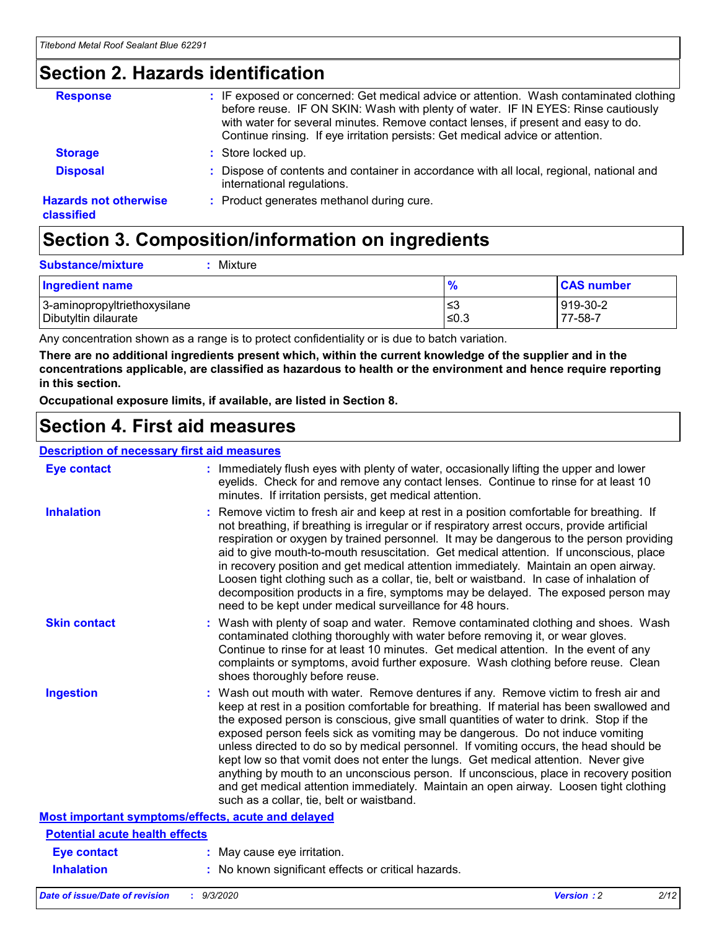### **Section 2. Hazards identification**

| <b>Response</b>                            | : IF exposed or concerned: Get medical advice or attention. Wash contaminated clothing<br>before reuse. IF ON SKIN: Wash with plenty of water. IF IN EYES: Rinse cautiously<br>with water for several minutes. Remove contact lenses, if present and easy to do.<br>Continue rinsing. If eye irritation persists: Get medical advice or attention. |
|--------------------------------------------|----------------------------------------------------------------------------------------------------------------------------------------------------------------------------------------------------------------------------------------------------------------------------------------------------------------------------------------------------|
| <b>Storage</b>                             | : Store locked up.                                                                                                                                                                                                                                                                                                                                 |
| <b>Disposal</b>                            | : Dispose of contents and container in accordance with all local, regional, national and<br>international regulations.                                                                                                                                                                                                                             |
| <b>Hazards not otherwise</b><br>classified | : Product generates methanol during cure.                                                                                                                                                                                                                                                                                                          |

# **Section 3. Composition/information on ingredients**

| <b>Ingredient name</b>       | $\frac{9}{6}$ | <b>CAS number</b> |
|------------------------------|---------------|-------------------|
| 3-aminopropyltriethoxysilane | ≤3            | 919-30-2          |
| Dibutyltin dilaurate         | ∣≤0.3         | 77-58-7           |

Any concentration shown as a range is to protect confidentiality or is due to batch variation.

**There are no additional ingredients present which, within the current knowledge of the supplier and in the concentrations applicable, are classified as hazardous to health or the environment and hence require reporting in this section.**

**Occupational exposure limits, if available, are listed in Section 8.**

### **Section 4. First aid measures**

| <b>Description of necessary first aid measures</b> |                                                                                                                                                                                                                                                                                                                                                                                                                                                                                                                                                                                                                                                                                                                                                                           |
|----------------------------------------------------|---------------------------------------------------------------------------------------------------------------------------------------------------------------------------------------------------------------------------------------------------------------------------------------------------------------------------------------------------------------------------------------------------------------------------------------------------------------------------------------------------------------------------------------------------------------------------------------------------------------------------------------------------------------------------------------------------------------------------------------------------------------------------|
| <b>Eye contact</b>                                 | : Immediately flush eyes with plenty of water, occasionally lifting the upper and lower<br>eyelids. Check for and remove any contact lenses. Continue to rinse for at least 10<br>minutes. If irritation persists, get medical attention.                                                                                                                                                                                                                                                                                                                                                                                                                                                                                                                                 |
| <b>Inhalation</b>                                  | : Remove victim to fresh air and keep at rest in a position comfortable for breathing. If<br>not breathing, if breathing is irregular or if respiratory arrest occurs, provide artificial<br>respiration or oxygen by trained personnel. It may be dangerous to the person providing<br>aid to give mouth-to-mouth resuscitation. Get medical attention. If unconscious, place<br>in recovery position and get medical attention immediately. Maintain an open airway.<br>Loosen tight clothing such as a collar, tie, belt or waistband. In case of inhalation of<br>decomposition products in a fire, symptoms may be delayed. The exposed person may<br>need to be kept under medical surveillance for 48 hours.                                                       |
| <b>Skin contact</b>                                | : Wash with plenty of soap and water. Remove contaminated clothing and shoes. Wash<br>contaminated clothing thoroughly with water before removing it, or wear gloves.<br>Continue to rinse for at least 10 minutes. Get medical attention. In the event of any<br>complaints or symptoms, avoid further exposure. Wash clothing before reuse. Clean<br>shoes thoroughly before reuse.                                                                                                                                                                                                                                                                                                                                                                                     |
| <b>Ingestion</b>                                   | : Wash out mouth with water. Remove dentures if any. Remove victim to fresh air and<br>keep at rest in a position comfortable for breathing. If material has been swallowed and<br>the exposed person is conscious, give small quantities of water to drink. Stop if the<br>exposed person feels sick as vomiting may be dangerous. Do not induce vomiting<br>unless directed to do so by medical personnel. If vomiting occurs, the head should be<br>kept low so that vomit does not enter the lungs. Get medical attention. Never give<br>anything by mouth to an unconscious person. If unconscious, place in recovery position<br>and get medical attention immediately. Maintain an open airway. Loosen tight clothing<br>such as a collar, tie, belt or waistband. |
| Most important symptoms/effects, acute and delayed |                                                                                                                                                                                                                                                                                                                                                                                                                                                                                                                                                                                                                                                                                                                                                                           |
| <b>Potential acute health effects</b>              |                                                                                                                                                                                                                                                                                                                                                                                                                                                                                                                                                                                                                                                                                                                                                                           |
| Eye contact                                        | : May cause eye irritation.                                                                                                                                                                                                                                                                                                                                                                                                                                                                                                                                                                                                                                                                                                                                               |
| <b>Inhalation</b>                                  | : No known significant effects or critical hazards.                                                                                                                                                                                                                                                                                                                                                                                                                                                                                                                                                                                                                                                                                                                       |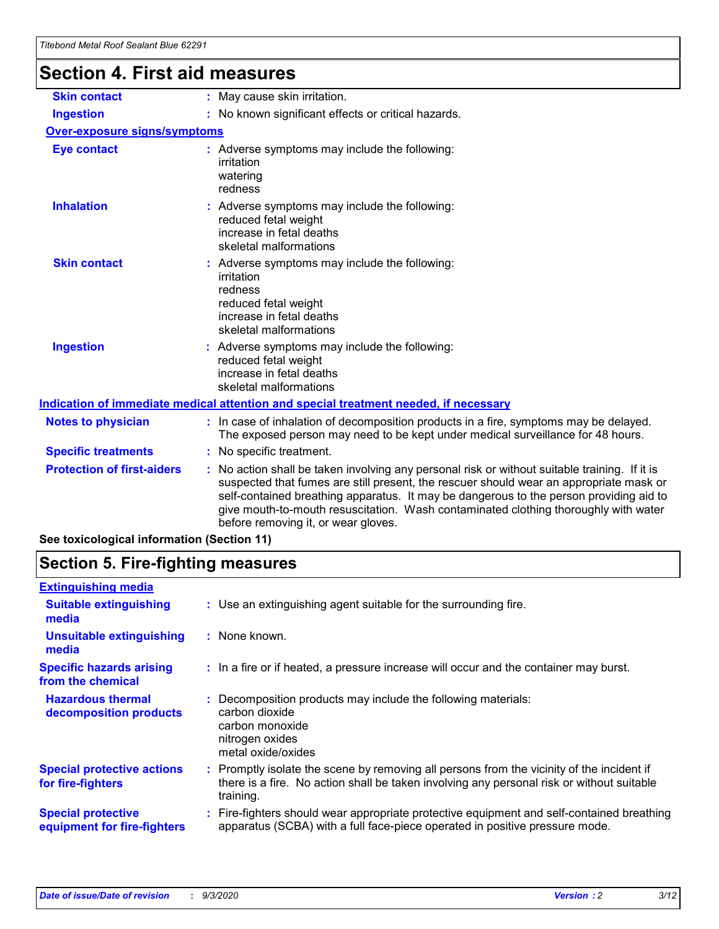# **Section 4. First aid measures**

| <b>Skin contact</b>                        | : May cause skin irritation.                                                                                                                                                                                                                                                                                                                                                                                  |
|--------------------------------------------|---------------------------------------------------------------------------------------------------------------------------------------------------------------------------------------------------------------------------------------------------------------------------------------------------------------------------------------------------------------------------------------------------------------|
| <b>Ingestion</b>                           | : No known significant effects or critical hazards.                                                                                                                                                                                                                                                                                                                                                           |
| <b>Over-exposure signs/symptoms</b>        |                                                                                                                                                                                                                                                                                                                                                                                                               |
| <b>Eye contact</b>                         | : Adverse symptoms may include the following:<br>irritation<br>watering<br>redness                                                                                                                                                                                                                                                                                                                            |
| <b>Inhalation</b>                          | : Adverse symptoms may include the following:<br>reduced fetal weight<br>increase in fetal deaths<br>skeletal malformations                                                                                                                                                                                                                                                                                   |
| <b>Skin contact</b>                        | Adverse symptoms may include the following:<br>irritation<br>redness<br>reduced fetal weight<br>increase in fetal deaths<br>skeletal malformations                                                                                                                                                                                                                                                            |
| <b>Ingestion</b>                           | : Adverse symptoms may include the following:<br>reduced fetal weight<br>increase in fetal deaths<br>skeletal malformations                                                                                                                                                                                                                                                                                   |
|                                            | Indication of immediate medical attention and special treatment needed, if necessary                                                                                                                                                                                                                                                                                                                          |
| <b>Notes to physician</b>                  | : In case of inhalation of decomposition products in a fire, symptoms may be delayed.<br>The exposed person may need to be kept under medical surveillance for 48 hours.                                                                                                                                                                                                                                      |
| <b>Specific treatments</b>                 | : No specific treatment.                                                                                                                                                                                                                                                                                                                                                                                      |
| <b>Protection of first-aiders</b>          | No action shall be taken involving any personal risk or without suitable training. If it is<br>suspected that fumes are still present, the rescuer should wear an appropriate mask or<br>self-contained breathing apparatus. It may be dangerous to the person providing aid to<br>give mouth-to-mouth resuscitation. Wash contaminated clothing thoroughly with water<br>before removing it, or wear gloves. |
| See toxicological information (Section 11) |                                                                                                                                                                                                                                                                                                                                                                                                               |

# **Section 5. Fire-fighting measures**

| <b>Extinguishing media</b><br>: Use an extinguishing agent suitable for the surrounding fire.<br><b>Suitable extinguishing</b><br>media<br><b>Unsuitable extinguishing</b><br>: None known.<br>media<br><b>Specific hazards arising</b><br>: In a fire or if heated, a pressure increase will occur and the container may burst.<br>from the chemical<br><b>Hazardous thermal</b><br>Decomposition products may include the following materials:<br>carbon dioxide<br>decomposition products<br>carbon monoxide<br>nitrogen oxides<br>metal oxide/oxides<br><b>Special protective actions</b><br>: Promptly isolate the scene by removing all persons from the vicinity of the incident if<br>there is a fire. No action shall be taken involving any personal risk or without suitable<br>for fire-fighters<br>training.<br><b>Special protective</b><br>apparatus (SCBA) with a full face-piece operated in positive pressure mode.<br>equipment for fire-fighters |                                                                                           |
|----------------------------------------------------------------------------------------------------------------------------------------------------------------------------------------------------------------------------------------------------------------------------------------------------------------------------------------------------------------------------------------------------------------------------------------------------------------------------------------------------------------------------------------------------------------------------------------------------------------------------------------------------------------------------------------------------------------------------------------------------------------------------------------------------------------------------------------------------------------------------------------------------------------------------------------------------------------------|-------------------------------------------------------------------------------------------|
|                                                                                                                                                                                                                                                                                                                                                                                                                                                                                                                                                                                                                                                                                                                                                                                                                                                                                                                                                                      |                                                                                           |
|                                                                                                                                                                                                                                                                                                                                                                                                                                                                                                                                                                                                                                                                                                                                                                                                                                                                                                                                                                      |                                                                                           |
|                                                                                                                                                                                                                                                                                                                                                                                                                                                                                                                                                                                                                                                                                                                                                                                                                                                                                                                                                                      |                                                                                           |
|                                                                                                                                                                                                                                                                                                                                                                                                                                                                                                                                                                                                                                                                                                                                                                                                                                                                                                                                                                      |                                                                                           |
|                                                                                                                                                                                                                                                                                                                                                                                                                                                                                                                                                                                                                                                                                                                                                                                                                                                                                                                                                                      |                                                                                           |
|                                                                                                                                                                                                                                                                                                                                                                                                                                                                                                                                                                                                                                                                                                                                                                                                                                                                                                                                                                      |                                                                                           |
|                                                                                                                                                                                                                                                                                                                                                                                                                                                                                                                                                                                                                                                                                                                                                                                                                                                                                                                                                                      | : Fire-fighters should wear appropriate protective equipment and self-contained breathing |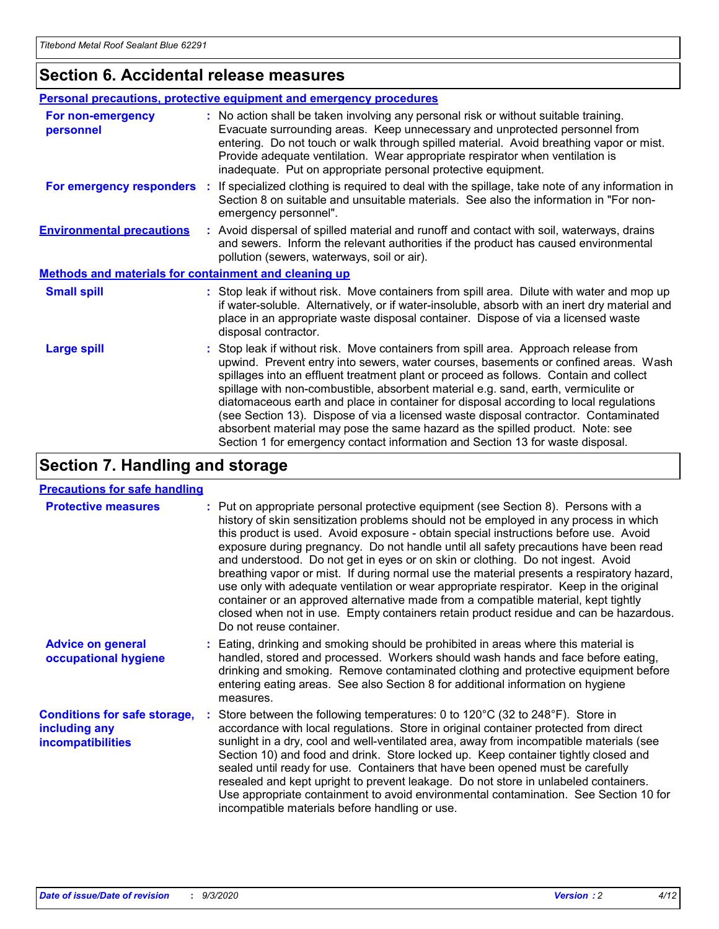### **Section 6. Accidental release measures**

|                                                              | <b>Personal precautions, protective equipment and emergency procedures</b>                                                                                                                                                                                                                                                                                                                                                                                                                                                                                                                                                                                                                                   |  |  |  |
|--------------------------------------------------------------|--------------------------------------------------------------------------------------------------------------------------------------------------------------------------------------------------------------------------------------------------------------------------------------------------------------------------------------------------------------------------------------------------------------------------------------------------------------------------------------------------------------------------------------------------------------------------------------------------------------------------------------------------------------------------------------------------------------|--|--|--|
| For non-emergency<br>personnel                               | : No action shall be taken involving any personal risk or without suitable training.<br>Evacuate surrounding areas. Keep unnecessary and unprotected personnel from<br>entering. Do not touch or walk through spilled material. Avoid breathing vapor or mist.<br>Provide adequate ventilation. Wear appropriate respirator when ventilation is<br>inadequate. Put on appropriate personal protective equipment.                                                                                                                                                                                                                                                                                             |  |  |  |
| For emergency responders                                     | : If specialized clothing is required to deal with the spillage, take note of any information in<br>Section 8 on suitable and unsuitable materials. See also the information in "For non-<br>emergency personnel".                                                                                                                                                                                                                                                                                                                                                                                                                                                                                           |  |  |  |
| <b>Environmental precautions</b>                             | : Avoid dispersal of spilled material and runoff and contact with soil, waterways, drains<br>and sewers. Inform the relevant authorities if the product has caused environmental<br>pollution (sewers, waterways, soil or air).                                                                                                                                                                                                                                                                                                                                                                                                                                                                              |  |  |  |
| <b>Methods and materials for containment and cleaning up</b> |                                                                                                                                                                                                                                                                                                                                                                                                                                                                                                                                                                                                                                                                                                              |  |  |  |
| <b>Small spill</b>                                           | : Stop leak if without risk. Move containers from spill area. Dilute with water and mop up<br>if water-soluble. Alternatively, or if water-insoluble, absorb with an inert dry material and<br>place in an appropriate waste disposal container. Dispose of via a licensed waste<br>disposal contractor.                                                                                                                                                                                                                                                                                                                                                                                                     |  |  |  |
| <b>Large spill</b>                                           | : Stop leak if without risk. Move containers from spill area. Approach release from<br>upwind. Prevent entry into sewers, water courses, basements or confined areas. Wash<br>spillages into an effluent treatment plant or proceed as follows. Contain and collect<br>spillage with non-combustible, absorbent material e.g. sand, earth, vermiculite or<br>diatomaceous earth and place in container for disposal according to local regulations<br>(see Section 13). Dispose of via a licensed waste disposal contractor. Contaminated<br>absorbent material may pose the same hazard as the spilled product. Note: see<br>Section 1 for emergency contact information and Section 13 for waste disposal. |  |  |  |

### **Section 7. Handling and storage**

#### **Precautions for safe handling**

| <b>Protective measures</b>                                                       | : Put on appropriate personal protective equipment (see Section 8). Persons with a<br>history of skin sensitization problems should not be employed in any process in which<br>this product is used. Avoid exposure - obtain special instructions before use. Avoid<br>exposure during pregnancy. Do not handle until all safety precautions have been read<br>and understood. Do not get in eyes or on skin or clothing. Do not ingest. Avoid<br>breathing vapor or mist. If during normal use the material presents a respiratory hazard,<br>use only with adequate ventilation or wear appropriate respirator. Keep in the original<br>container or an approved alternative made from a compatible material, kept tightly<br>closed when not in use. Empty containers retain product residue and can be hazardous.<br>Do not reuse container. |
|----------------------------------------------------------------------------------|--------------------------------------------------------------------------------------------------------------------------------------------------------------------------------------------------------------------------------------------------------------------------------------------------------------------------------------------------------------------------------------------------------------------------------------------------------------------------------------------------------------------------------------------------------------------------------------------------------------------------------------------------------------------------------------------------------------------------------------------------------------------------------------------------------------------------------------------------|
| <b>Advice on general</b><br>occupational hygiene                                 | : Eating, drinking and smoking should be prohibited in areas where this material is<br>handled, stored and processed. Workers should wash hands and face before eating,<br>drinking and smoking. Remove contaminated clothing and protective equipment before<br>entering eating areas. See also Section 8 for additional information on hygiene<br>measures.                                                                                                                                                                                                                                                                                                                                                                                                                                                                                    |
| <b>Conditions for safe storage,</b><br>including any<br><i>incompatibilities</i> | Store between the following temperatures: 0 to 120°C (32 to 248°F). Store in<br>accordance with local regulations. Store in original container protected from direct<br>sunlight in a dry, cool and well-ventilated area, away from incompatible materials (see<br>Section 10) and food and drink. Store locked up. Keep container tightly closed and<br>sealed until ready for use. Containers that have been opened must be carefully<br>resealed and kept upright to prevent leakage. Do not store in unlabeled containers.<br>Use appropriate containment to avoid environmental contamination. See Section 10 for<br>incompatible materials before handling or use.                                                                                                                                                                         |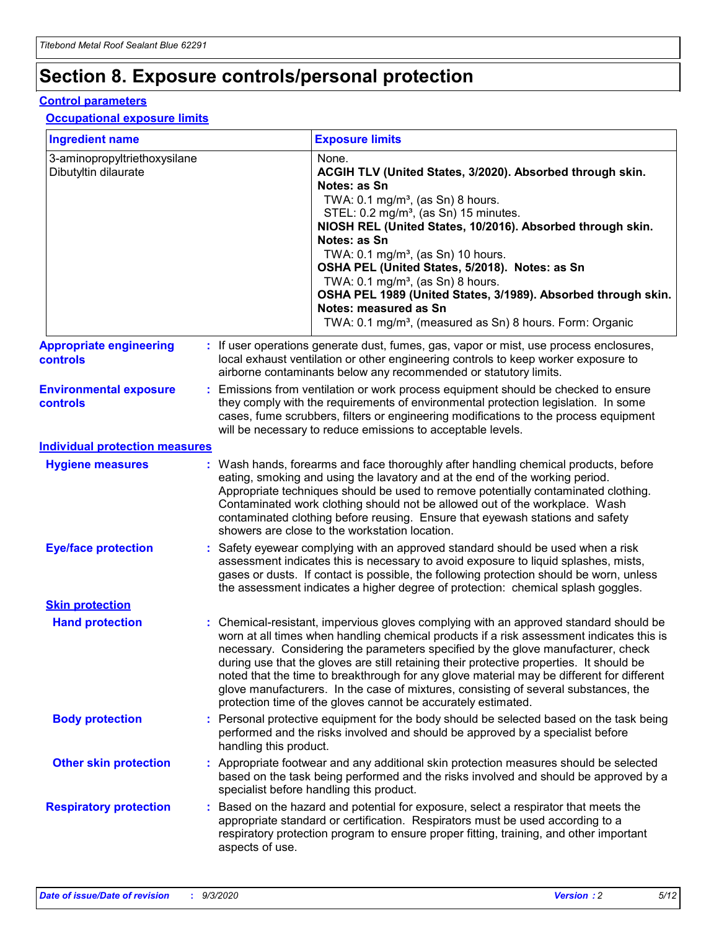## **Section 8. Exposure controls/personal protection**

#### **Control parameters**

#### **Occupational exposure limits**

| <b>Ingredient name</b>                               |                        | <b>Exposure limits</b>                                                                                                                                                                                                                                                                                                                                                                                                                                                                                                                                                                                                 |
|------------------------------------------------------|------------------------|------------------------------------------------------------------------------------------------------------------------------------------------------------------------------------------------------------------------------------------------------------------------------------------------------------------------------------------------------------------------------------------------------------------------------------------------------------------------------------------------------------------------------------------------------------------------------------------------------------------------|
| 3-aminopropyltriethoxysilane<br>Dibutyltin dilaurate |                        | None.<br>ACGIH TLV (United States, 3/2020). Absorbed through skin.<br>Notes: as Sn<br>TWA: 0.1 mg/m <sup>3</sup> , (as Sn) 8 hours.<br>STEL: 0.2 mg/m <sup>3</sup> , (as Sn) 15 minutes.<br>NIOSH REL (United States, 10/2016). Absorbed through skin.<br>Notes: as Sn<br>TWA: 0.1 mg/m <sup>3</sup> , (as Sn) 10 hours.<br>OSHA PEL (United States, 5/2018). Notes: as Sn<br>TWA: $0.1 \text{ mg/m}^3$ , (as Sn) 8 hours.<br>OSHA PEL 1989 (United States, 3/1989). Absorbed through skin.<br>Notes: measured as Sn<br>TWA: 0.1 mg/m <sup>3</sup> , (measured as Sn) 8 hours. Form: Organic                           |
| <b>Appropriate engineering</b><br><b>controls</b>    |                        | : If user operations generate dust, fumes, gas, vapor or mist, use process enclosures,<br>local exhaust ventilation or other engineering controls to keep worker exposure to<br>airborne contaminants below any recommended or statutory limits.                                                                                                                                                                                                                                                                                                                                                                       |
| <b>Environmental exposure</b><br><b>controls</b>     |                        | Emissions from ventilation or work process equipment should be checked to ensure<br>they comply with the requirements of environmental protection legislation. In some<br>cases, fume scrubbers, filters or engineering modifications to the process equipment<br>will be necessary to reduce emissions to acceptable levels.                                                                                                                                                                                                                                                                                          |
| <b>Individual protection measures</b>                |                        |                                                                                                                                                                                                                                                                                                                                                                                                                                                                                                                                                                                                                        |
| <b>Hygiene measures</b>                              |                        | : Wash hands, forearms and face thoroughly after handling chemical products, before<br>eating, smoking and using the lavatory and at the end of the working period.<br>Appropriate techniques should be used to remove potentially contaminated clothing.<br>Contaminated work clothing should not be allowed out of the workplace. Wash<br>contaminated clothing before reusing. Ensure that eyewash stations and safety<br>showers are close to the workstation location.                                                                                                                                            |
| <b>Eye/face protection</b>                           |                        | : Safety eyewear complying with an approved standard should be used when a risk<br>assessment indicates this is necessary to avoid exposure to liquid splashes, mists,<br>gases or dusts. If contact is possible, the following protection should be worn, unless<br>the assessment indicates a higher degree of protection: chemical splash goggles.                                                                                                                                                                                                                                                                  |
| <b>Skin protection</b>                               |                        |                                                                                                                                                                                                                                                                                                                                                                                                                                                                                                                                                                                                                        |
| <b>Hand protection</b>                               |                        | : Chemical-resistant, impervious gloves complying with an approved standard should be<br>worn at all times when handling chemical products if a risk assessment indicates this is<br>necessary. Considering the parameters specified by the glove manufacturer, check<br>during use that the gloves are still retaining their protective properties. It should be<br>noted that the time to breakthrough for any glove material may be different for different<br>glove manufacturers. In the case of mixtures, consisting of several substances, the<br>protection time of the gloves cannot be accurately estimated. |
| <b>Body protection</b>                               | handling this product. | : Personal protective equipment for the body should be selected based on the task being<br>performed and the risks involved and should be approved by a specialist before                                                                                                                                                                                                                                                                                                                                                                                                                                              |
| <b>Other skin protection</b>                         |                        | : Appropriate footwear and any additional skin protection measures should be selected<br>based on the task being performed and the risks involved and should be approved by a<br>specialist before handling this product.                                                                                                                                                                                                                                                                                                                                                                                              |
| <b>Respiratory protection</b>                        | aspects of use.        | : Based on the hazard and potential for exposure, select a respirator that meets the<br>appropriate standard or certification. Respirators must be used according to a<br>respiratory protection program to ensure proper fitting, training, and other important                                                                                                                                                                                                                                                                                                                                                       |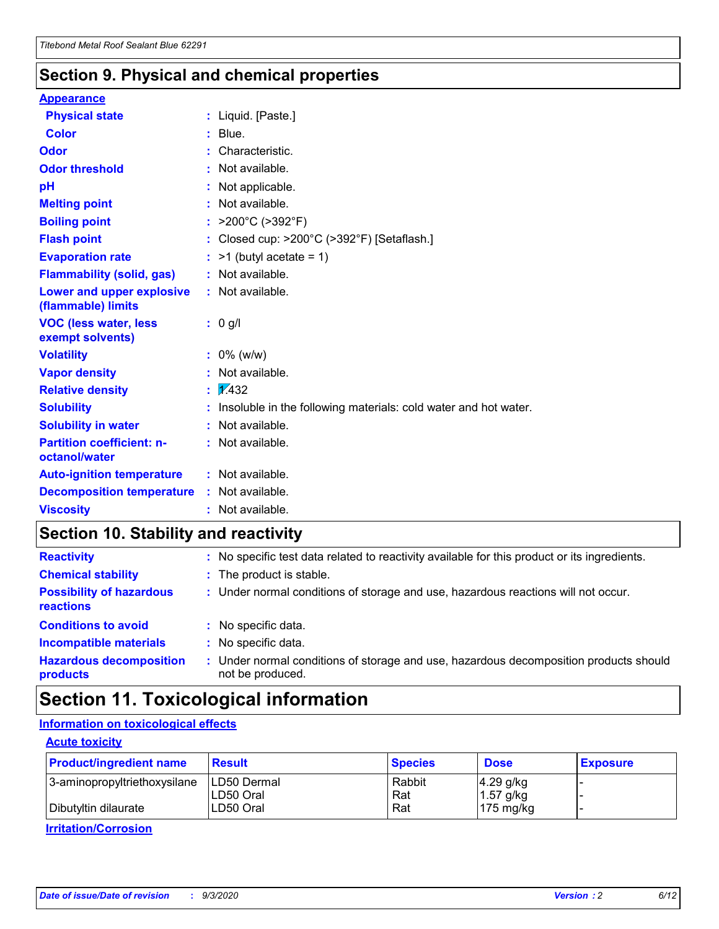### **Section 9. Physical and chemical properties**

#### **Appearance**

| <b>Physical state</b>                             | : Liquid. [Paste.]                                              |
|---------------------------------------------------|-----------------------------------------------------------------|
| <b>Color</b>                                      | $:$ Blue.                                                       |
| Odor                                              | Characteristic.                                                 |
| <b>Odor threshold</b>                             | : Not available.                                                |
| pH                                                | : Not applicable.                                               |
| <b>Melting point</b>                              | : Not available.                                                |
| <b>Boiling point</b>                              | : $>200^{\circ}$ C ( $>392^{\circ}$ F)                          |
| <b>Flash point</b>                                | : Closed cup: >200°C (>392°F) [Setaflash.]                      |
| <b>Evaporation rate</b>                           | $:$ >1 (butyl acetate = 1)                                      |
| <b>Flammability (solid, gas)</b>                  | : Not available.                                                |
| Lower and upper explosive<br>(flammable) limits   | $:$ Not available.                                              |
| <b>VOC (less water, less</b><br>exempt solvents)  | : 0 g/l                                                         |
| <b>Volatility</b>                                 | $: 0\%$ (w/w)                                                   |
| <b>Vapor density</b>                              | : Not available.                                                |
| <b>Relative density</b>                           | $\frac{1}{2}$ $\frac{1}{432}$                                   |
| <b>Solubility</b>                                 | Insoluble in the following materials: cold water and hot water. |
| <b>Solubility in water</b>                        | : Not available.                                                |
| <b>Partition coefficient: n-</b><br>octanol/water | $:$ Not available.                                              |
| <b>Auto-ignition temperature</b>                  | : Not available.                                                |
| <b>Decomposition temperature</b>                  | $:$ Not available.                                              |
| <b>Viscosity</b>                                  | $:$ Not available.                                              |

### **Section 10. Stability and reactivity**

| <b>Reactivity</b>                            | : No specific test data related to reactivity available for this product or its ingredients.            |
|----------------------------------------------|---------------------------------------------------------------------------------------------------------|
| <b>Chemical stability</b>                    | : The product is stable.                                                                                |
| <b>Possibility of hazardous</b><br>reactions | : Under normal conditions of storage and use, hazardous reactions will not occur.                       |
| <b>Conditions to avoid</b>                   | : No specific data.                                                                                     |
| <b>Incompatible materials</b>                | : No specific data.                                                                                     |
| <b>Hazardous decomposition</b><br>products   | Under normal conditions of storage and use, hazardous decomposition products should<br>not be produced. |

### **Section 11. Toxicological information**

#### **Information on toxicological effects**

#### **Acute toxicity**

| <b>Product/ingredient name</b> | <b>Result</b> | <b>Species</b> | <b>Dose</b>         | <b>Exposure</b> |
|--------------------------------|---------------|----------------|---------------------|-----------------|
| 3-aminopropyltriethoxysilane   | LD50 Dermal   | Rabbit         | $4.29$ g/kg         |                 |
|                                | ILD50 Oral    | Rat            | 1.57 g/kg           |                 |
| Dibutyltin dilaurate           | LD50 Oral     | Rat            | $175 \text{ mg/kg}$ |                 |

**Irritation/Corrosion**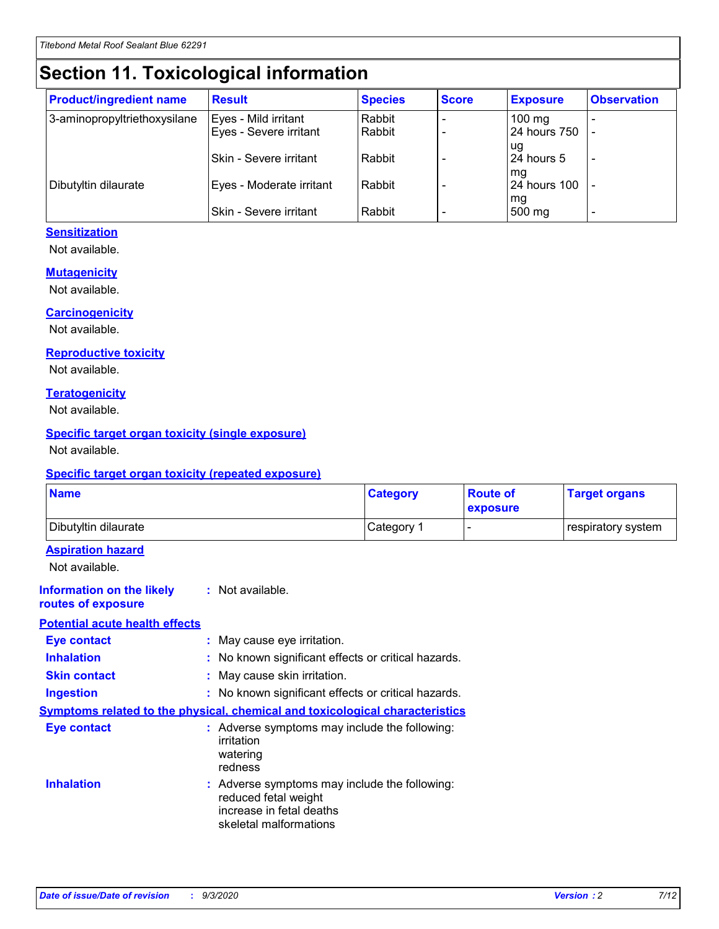# **Section 11. Toxicological information**

| <b>Product/ingredient name</b> | <b>Result</b>            | <b>Species</b> | <b>Score</b> | <b>Exposure</b>  | <b>Observation</b> |
|--------------------------------|--------------------------|----------------|--------------|------------------|--------------------|
| 3-aminopropyltriethoxysilane   | Eyes - Mild irritant     | Rabbit         |              | $100 \text{ mg}$ |                    |
|                                | Eyes - Severe irritant   | Rabbit         |              | 24 hours 750     |                    |
|                                |                          |                |              | ug               |                    |
|                                | Skin - Severe irritant   | Rabbit         |              | 24 hours 5       | ۰                  |
|                                |                          |                |              | mq               |                    |
| Dibutyltin dilaurate           | Eyes - Moderate irritant | Rabbit         |              | 24 hours 100     |                    |
|                                | Skin - Severe irritant   | Rabbit         |              | mg<br>500 mg     |                    |

#### **Sensitization**

Not available.

#### **Mutagenicity**

Not available.

#### **Carcinogenicity**

Not available.

#### **Reproductive toxicity**

Not available.

#### **Teratogenicity**

Not available.

#### **Specific target organ toxicity (single exposure)**

Not available.

#### **Specific target organ toxicity (repeated exposure)**

| <b>Name</b>                                                                         |                                                                            | <b>Category</b>                                     | <b>Route of</b><br>exposure | <b>Target organs</b> |  |
|-------------------------------------------------------------------------------------|----------------------------------------------------------------------------|-----------------------------------------------------|-----------------------------|----------------------|--|
| Dibutyltin dilaurate                                                                |                                                                            | Category 1                                          |                             | respiratory system   |  |
| <b>Aspiration hazard</b><br>Not available.                                          |                                                                            |                                                     |                             |                      |  |
| <b>Information on the likely</b><br>routes of exposure                              | : Not available.                                                           |                                                     |                             |                      |  |
| <b>Potential acute health effects</b>                                               |                                                                            |                                                     |                             |                      |  |
| <b>Eye contact</b>                                                                  | : May cause eye irritation.                                                |                                                     |                             |                      |  |
| <b>Inhalation</b>                                                                   |                                                                            | : No known significant effects or critical hazards. |                             |                      |  |
| <b>Skin contact</b>                                                                 |                                                                            | : May cause skin irritation.                        |                             |                      |  |
| <b>Ingestion</b>                                                                    |                                                                            | : No known significant effects or critical hazards. |                             |                      |  |
| <b>Symptoms related to the physical, chemical and toxicological characteristics</b> |                                                                            |                                                     |                             |                      |  |
| <b>Eye contact</b>                                                                  | irritation<br>watering<br>redness                                          | : Adverse symptoms may include the following:       |                             |                      |  |
| <b>Inhalation</b>                                                                   | reduced fetal weight<br>increase in fetal deaths<br>skeletal malformations | : Adverse symptoms may include the following:       |                             |                      |  |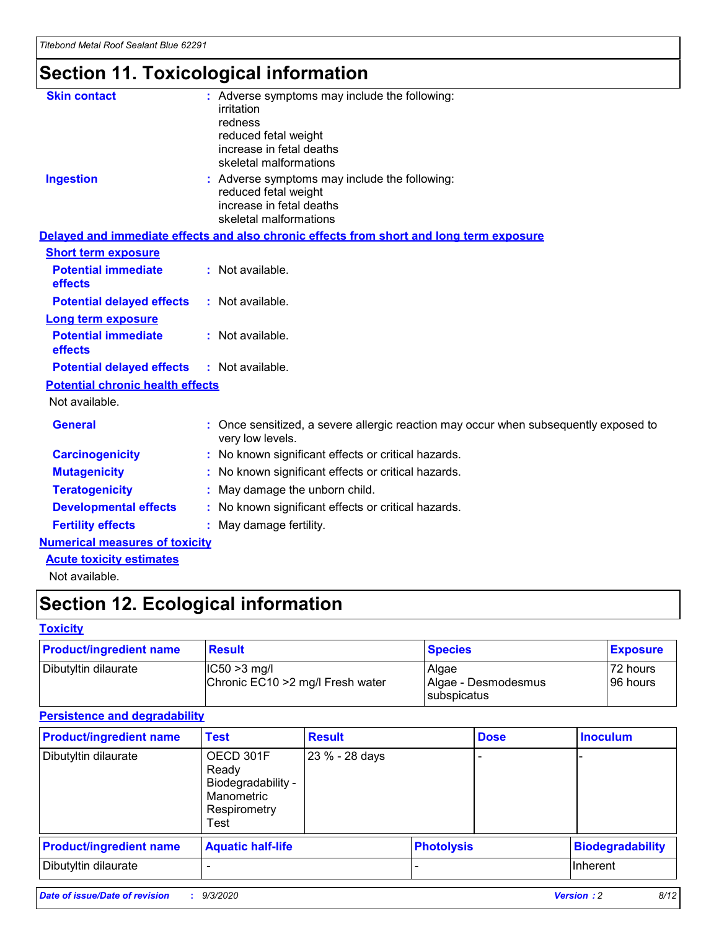# **Section 11. Toxicological information**

| <b>Skin contact</b>                     | : Adverse symptoms may include the following:                                                            |
|-----------------------------------------|----------------------------------------------------------------------------------------------------------|
|                                         | irritation                                                                                               |
|                                         | redness                                                                                                  |
|                                         | reduced fetal weight                                                                                     |
|                                         | increase in fetal deaths                                                                                 |
|                                         | skeletal malformations                                                                                   |
| <b>Ingestion</b>                        | : Adverse symptoms may include the following:                                                            |
|                                         | reduced fetal weight                                                                                     |
|                                         | increase in fetal deaths                                                                                 |
|                                         | skeletal malformations                                                                                   |
|                                         | Delayed and immediate effects and also chronic effects from short and long term exposure                 |
| <b>Short term exposure</b>              |                                                                                                          |
| <b>Potential immediate</b>              | : Not available.                                                                                         |
| effects                                 |                                                                                                          |
| <b>Potential delayed effects</b>        | : Not available.                                                                                         |
| Long term exposure                      |                                                                                                          |
| <b>Potential immediate</b>              | : Not available.                                                                                         |
| effects                                 |                                                                                                          |
| <b>Potential delayed effects</b>        | : Not available.                                                                                         |
| <b>Potential chronic health effects</b> |                                                                                                          |
| Not available.                          |                                                                                                          |
| <b>General</b>                          | : Once sensitized, a severe allergic reaction may occur when subsequently exposed to<br>very low levels. |
| <b>Carcinogenicity</b>                  | : No known significant effects or critical hazards.                                                      |
| <b>Mutagenicity</b>                     | : No known significant effects or critical hazards.                                                      |
| <b>Teratogenicity</b>                   | May damage the unborn child.                                                                             |
| <b>Developmental effects</b>            | : No known significant effects or critical hazards.                                                      |
| <b>Fertility effects</b>                | May damage fertility.                                                                                    |
| <b>Numerical measures of toxicity</b>   |                                                                                                          |
| <b>Acute toxicity estimates</b>         |                                                                                                          |
| الملمانة المستنقط فالمرابط              |                                                                                                          |

Not available.

## **Section 12. Ecological information**

#### **Toxicity**

| <b>Product/ingredient name</b> | <b>Result</b>                                       | <b>Species</b>               | <b>Exposure</b>       |
|--------------------------------|-----------------------------------------------------|------------------------------|-----------------------|
| Dibutyltin dilaurate           | $ CC50>3$ mg/l<br>Chronic EC10 > 2 mg/l Fresh water | Algae<br>Algae - Desmodesmus | 72 hours<br>196 hours |
|                                |                                                     | <b>I</b> subspicatus         |                       |

#### **Persistence and degradability**

| <b>Product/ingredient name</b> | <b>Test</b>                                                                    | <b>Result</b>  |                   | <b>Dose</b> | <b>Inoculum</b>         |
|--------------------------------|--------------------------------------------------------------------------------|----------------|-------------------|-------------|-------------------------|
| Dibutyltin dilaurate           | OECD 301F<br>Ready<br>Biodegradability -<br>Manometric<br>Respirometry<br>Test | 23 % - 28 days |                   |             |                         |
| <b>Product/ingredient name</b> | <b>Aquatic half-life</b>                                                       |                | <b>Photolysis</b> |             | <b>Biodegradability</b> |
| Dibutyltin dilaurate           |                                                                                |                |                   |             | <b>Inherent</b>         |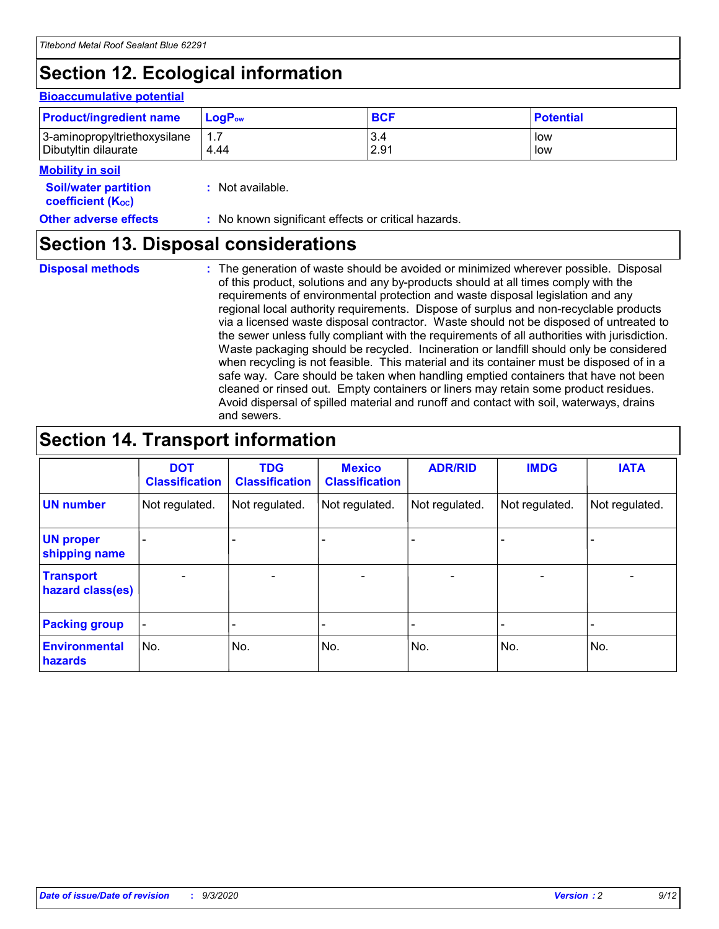# **Section 12. Ecological information**

#### **Bioaccumulative potential**

| <b>Product/ingredient name</b> | <b>LogP</b> <sub>ow</sub> | <b>BCF</b> | <b>Potential</b> |
|--------------------------------|---------------------------|------------|------------------|
| 3-aminopropyltriethoxysilane   | 4.44                      | 3.4        | low              |
| Dibutyltin dilaurate           |                           | 2.91       | low              |

#### **Mobility in soil**

| <b>Soil/water partition</b>    | : Not available. |
|--------------------------------|------------------|
| coefficient (K <sub>oc</sub> ) |                  |

#### **Other adverse effects** : No known significant effects or critical hazards.

### **Section 13. Disposal considerations**

**Disposal methods :**

The generation of waste should be avoided or minimized wherever possible. Disposal of this product, solutions and any by-products should at all times comply with the requirements of environmental protection and waste disposal legislation and any regional local authority requirements. Dispose of surplus and non-recyclable products via a licensed waste disposal contractor. Waste should not be disposed of untreated to the sewer unless fully compliant with the requirements of all authorities with jurisdiction. Waste packaging should be recycled. Incineration or landfill should only be considered when recycling is not feasible. This material and its container must be disposed of in a safe way. Care should be taken when handling emptied containers that have not been cleaned or rinsed out. Empty containers or liners may retain some product residues. Avoid dispersal of spilled material and runoff and contact with soil, waterways, drains and sewers.

### **Section 14. Transport information**

|                                      | <b>DOT</b><br><b>Classification</b> | <b>TDG</b><br><b>Classification</b> | <b>Mexico</b><br><b>Classification</b> | <b>ADR/RID</b>           | <b>IMDG</b>              | <b>IATA</b>    |
|--------------------------------------|-------------------------------------|-------------------------------------|----------------------------------------|--------------------------|--------------------------|----------------|
| <b>UN number</b>                     | Not regulated.                      | Not regulated.                      | Not regulated.                         | Not regulated.           | Not regulated.           | Not regulated. |
| <b>UN proper</b><br>shipping name    |                                     |                                     |                                        |                          |                          |                |
| <b>Transport</b><br>hazard class(es) |                                     | $\overline{\phantom{0}}$            | $\qquad \qquad \blacksquare$           | $\overline{\phantom{0}}$ | $\overline{\phantom{0}}$ |                |
| <b>Packing group</b>                 |                                     |                                     |                                        |                          |                          |                |
| <b>Environmental</b><br>hazards      | No.                                 | No.                                 | No.                                    | No.                      | No.                      | No.            |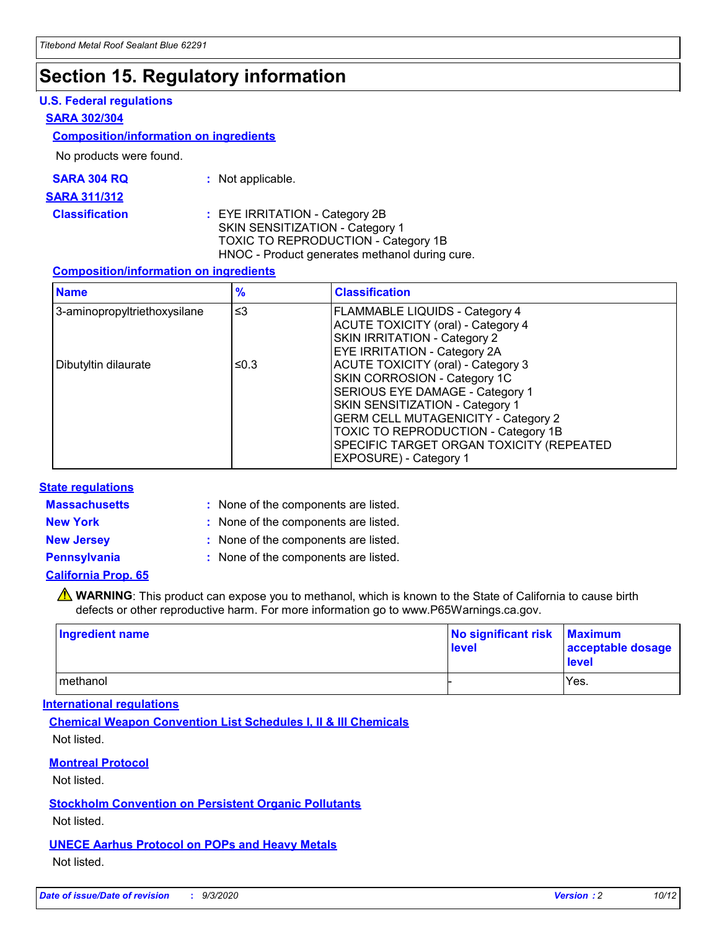### **Section 15. Regulatory information**

#### **U.S. Federal regulations**

#### **SARA 302/304**

#### **Composition/information on ingredients**

No products were found.

| SARA 304 RQ | Not applicable. |
|-------------|-----------------|
|-------------|-----------------|

#### **SARA 311/312**

#### **Classification :** EYE IRRITATION - Category 2B SKIN SENSITIZATION - Category 1 TOXIC TO REPRODUCTION - Category 1B HNOC - Product generates methanol during cure.

#### **Composition/information on ingredients**

| <b>Name</b>                  | $\frac{9}{6}$ | <b>Classification</b>                                                                                                                                                                                                                                                                                      |
|------------------------------|---------------|------------------------------------------------------------------------------------------------------------------------------------------------------------------------------------------------------------------------------------------------------------------------------------------------------------|
| 3-aminopropyltriethoxysilane | $\leq$ 3      | <b>FLAMMABLE LIQUIDS - Category 4</b><br><b>ACUTE TOXICITY (oral) - Category 4</b><br><b>SKIN IRRITATION - Category 2</b><br>EYE IRRITATION - Category 2A                                                                                                                                                  |
| Dibutyltin dilaurate         | ≤0.3          | <b>ACUTE TOXICITY (oral) - Category 3</b><br>SKIN CORROSION - Category 1C<br>SERIOUS EYE DAMAGE - Category 1<br>SKIN SENSITIZATION - Category 1<br><b>GERM CELL MUTAGENICITY - Category 2</b><br>TOXIC TO REPRODUCTION - Category 1B<br>SPECIFIC TARGET ORGAN TOXICITY (REPEATED<br>EXPOSURE) - Category 1 |

#### **State regulations**

**Massachusetts :**

: None of the components are listed.

**New York :** None of the components are listed. **New Jersey :** None of the components are listed.

**Pennsylvania :** None of the components are listed.

#### **California Prop. 65**

WARNING: This product can expose you to methanol, which is known to the State of California to cause birth defects or other reproductive harm. For more information go to www.P65Warnings.ca.gov.

| Ingredient name | No significant risk<br>level | <b>Maximum</b><br>acceptable dosage<br><b>level</b> |
|-----------------|------------------------------|-----------------------------------------------------|
| l methanol      |                              | Yes.                                                |

#### **International regulations**

**Chemical Weapon Convention List Schedules I, II & III Chemicals** Not listed.

#### **Montreal Protocol**

Not listed.

**Stockholm Convention on Persistent Organic Pollutants**

Not listed.

#### **UNECE Aarhus Protocol on POPs and Heavy Metals** Not listed.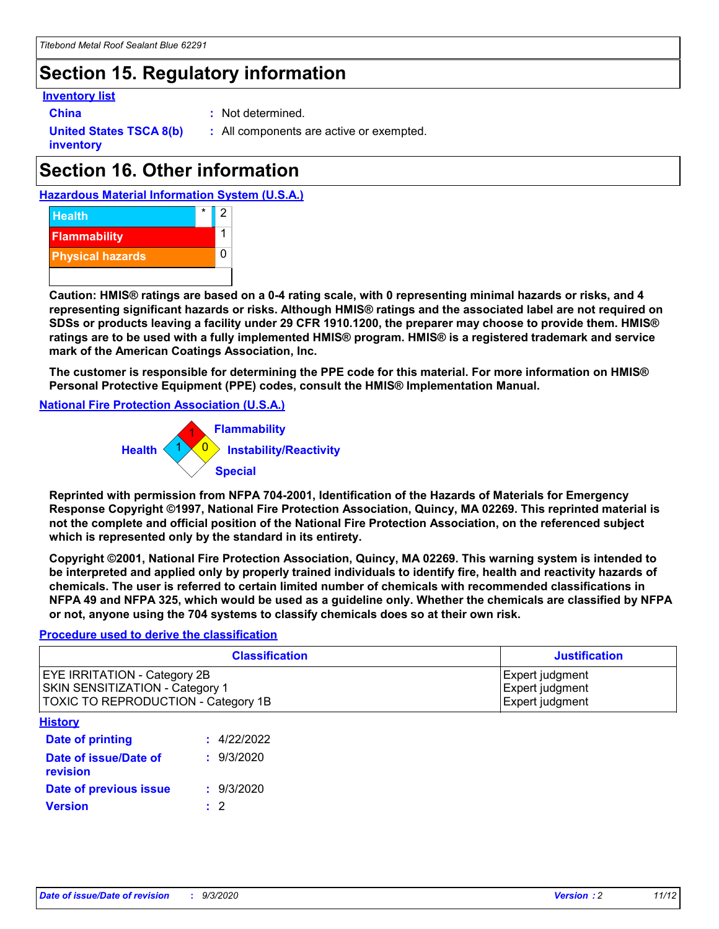## **Section 15. Regulatory information**

#### **Inventory list**

**China :** Not determined.

**United States TSCA 8(b) inventory**

**:** All components are active or exempted.

# **Section 16. Other information**





**Caution: HMIS® ratings are based on a 0-4 rating scale, with 0 representing minimal hazards or risks, and 4 representing significant hazards or risks. Although HMIS® ratings and the associated label are not required on SDSs or products leaving a facility under 29 CFR 1910.1200, the preparer may choose to provide them. HMIS® ratings are to be used with a fully implemented HMIS® program. HMIS® is a registered trademark and service mark of the American Coatings Association, Inc.**

**The customer is responsible for determining the PPE code for this material. For more information on HMIS® Personal Protective Equipment (PPE) codes, consult the HMIS® Implementation Manual.**

**National Fire Protection Association (U.S.A.)**



**Reprinted with permission from NFPA 704-2001, Identification of the Hazards of Materials for Emergency Response Copyright ©1997, National Fire Protection Association, Quincy, MA 02269. This reprinted material is not the complete and official position of the National Fire Protection Association, on the referenced subject which is represented only by the standard in its entirety.**

**Copyright ©2001, National Fire Protection Association, Quincy, MA 02269. This warning system is intended to be interpreted and applied only by properly trained individuals to identify fire, health and reactivity hazards of chemicals. The user is referred to certain limited number of chemicals with recommended classifications in NFPA 49 and NFPA 325, which would be used as a guideline only. Whether the chemicals are classified by NFPA or not, anyone using the 704 systems to classify chemicals does so at their own risk.**

#### **Procedure used to derive the classification**

| <b>Classification</b>                                                                                         | <b>Justification</b>                                  |
|---------------------------------------------------------------------------------------------------------------|-------------------------------------------------------|
| <b>EYE IRRITATION - Category 2B</b><br>SKIN SENSITIZATION - Category 1<br>TOXIC TO REPRODUCTION - Category 1B | Expert judgment<br>Expert judgment<br>Expert judgment |
| <b>History</b>                                                                                                |                                                       |

| .                                 |             |
|-----------------------------------|-------------|
| <b>Date of printing</b>           | : 4/22/2022 |
| Date of issue/Date of<br>revision | : 9/3/2020  |
| Date of previous issue            | : 9/3/2020  |
| <b>Version</b>                    | $\cdot$ 2   |
|                                   |             |